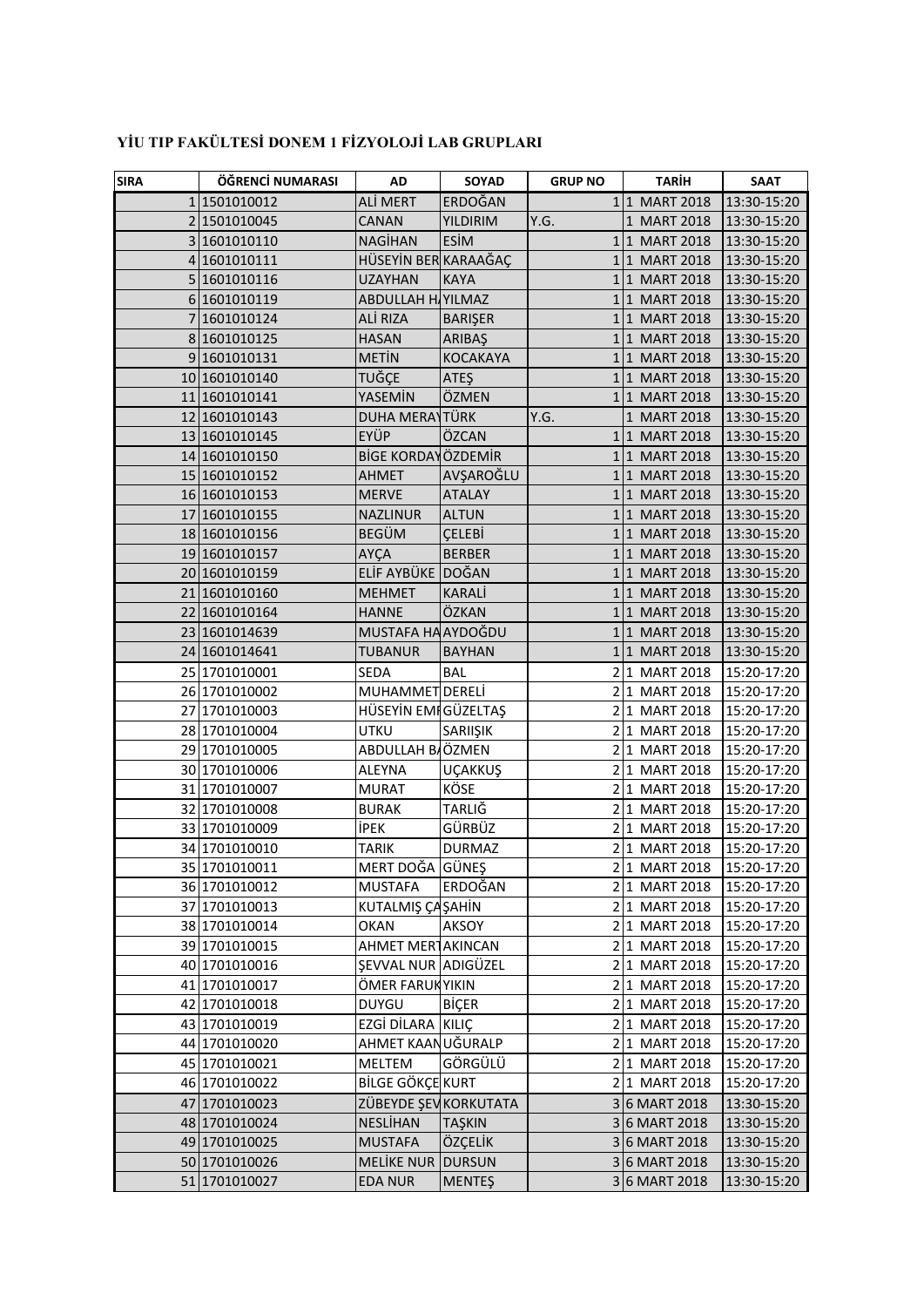| <b>SIRA</b> | ÖĞRENCİ NUMARASI | AD                         | SOYAD           | <b>GRUP NO</b> | <b>TARİH</b>                   | <b>SAAT</b>                |
|-------------|------------------|----------------------------|-----------------|----------------|--------------------------------|----------------------------|
|             | 1 1501010012     | ALİ MERT                   | ERDOĞAN         |                | 1 1 MART 2018                  | 13:30-15:20                |
|             | 2 1501010045     | CANAN                      | YILDIRIM        | Y.G.           | 1 MART 2018                    | 13:30-15:20                |
|             | 3 1601010110     | <b>NAGİHAN</b>             | ESİM            |                | 1 1 MART 2018                  | 13:30-15:20                |
|             | 4 1601010111     | HÜSEYİN BER KARAAĞAÇ       |                 |                | 1 1 MART 2018                  | 13:30-15:20                |
|             | 5 1601010116     | <b>UZAYHAN</b>             | <b>KAYA</b>     |                | 1 1 MART 2018                  | 13:30-15:20                |
|             | 6 1601010119     | <b>ABDULLAH HAYILMAZ</b>   |                 |                | 1 1 MART 2018                  | 13:30-15:20                |
|             | 7 1601010124     | ALİ RIZA                   | <b>BARIŞER</b>  |                | 1 1 MART 2018                  | 13:30-15:20                |
|             | 8 1601010125     | <b>HASAN</b>               | ARIBAŞ          |                | 1 1 MART 2018                  | 13:30-15:20                |
|             | 9 1601010131     | <b>METIN</b>               | <b>KOCAKAYA</b> |                | 1 1 MART 2018                  | 13:30-15:20                |
|             | 10 1601010140    | TUĞÇE                      | <b>ATEŞ</b>     |                | 1 1 MART 2018                  | 13:30-15:20                |
|             | 11 1601010141    | YASEMİN                    | ÖZMEN           |                | 1 1 MART 2018                  | 13:30-15:20                |
|             | 12 1601010143    | DUHA MERAYTÜRK             |                 | Y.G.           | 1 MART 2018                    | 13:30-15:20                |
|             | 13 1601010145    | EYÜP                       | ÖZCAN           |                | 1 1 MART 2018                  | 13:30-15:20                |
|             | 14 1601010150    | <b>BİGE KORDAYÖZDEMİR</b>  |                 |                | 1 1 MART 2018                  | 13:30-15:20                |
|             | 15 1601010152    | AHMET                      | AVŞAROĞLU       |                | 1 1 MART 2018                  | 13:30-15:20                |
|             | 16 1601010153    | <b>MERVE</b>               | <b>ATALAY</b>   |                | 1 1 MART 2018                  | 13:30-15:20                |
|             | 17 1601010155    | <b>NAZLINUR</b>            | <b>ALTUN</b>    |                | 1 1 MART 2018                  | 13:30-15:20                |
|             | 18 1601010156    | <b>BEGÜM</b>               | <b>ÇELEBİ</b>   |                | 1 1 MART 2018                  | 13:30-15:20                |
|             | 19 1601010157    | AYÇA                       | <b>BERBER</b>   |                | 1 1 MART 2018                  | 13:30-15:20                |
|             | 20 1601010159    | ELİF AYBÜKE DOĞAN          |                 |                | 1 1 MART 2018                  | 13:30-15:20                |
|             | 21 1601010160    | <b>MEHMET</b>              | <b>KARALİ</b>   |                | 1 1 MART 2018                  | 13:30-15:20                |
|             | 22 1601010164    | <b>HANNE</b>               | ÖZKAN           |                | 1 1 MART 2018                  | 13:30-15:20                |
|             | 23 1601014639    | MUSTAFA HA AYDOĞDU         |                 |                | 1 1 MART 2018                  | 13:30-15:20                |
|             | 24 1601014641    | TUBANUR                    | <b>BAYHAN</b>   |                | 1 1 MART 2018                  | 13:30-15:20                |
|             | 25 1701010001    | SEDA                       | <b>BAL</b>      |                | 2 1 MART 2018                  | 15:20-17:20                |
|             | 26 1701010002    | MUHAMMET DERELİ            |                 |                | 2 1 MART 2018                  | 15:20-17:20                |
|             | 27 1701010003    | HÜSEYİN EMI GÜZELTAŞ       |                 |                | 2 1 MART 2018                  | 15:20-17:20                |
|             | 28 1701010004    | UTKU                       | SARIIŞIK        |                | 2 1 MART 2018                  | 15:20-17:20                |
|             | 29 1701010005    | ABDULLAH BIÖZMEN           |                 |                | 2 1 MART 2018                  | 15:20-17:20                |
|             | 30 1701010006    | <b>ALEYNA</b>              | <b>UÇAKKUŞ</b>  |                | 2 1 MART 2018                  | 15:20-17:20                |
|             | 31 1701010007    | <b>MURAT</b>               | KÖSE            |                | 2 1 MART 2018                  | 15:20-17:20                |
|             | 32 1701010008    | <b>BURAK</b>               | <b>TARLIG</b>   |                | 2 1 MART 2018                  | 15:20-17:20                |
|             | 33 1701010009    | İPEK                       | GÜRBÜZ          |                | 2 1 MART 2018                  | 15:20-17:20                |
|             | 34 1701010010    | TARIK                      | <b>DURMAZ</b>   |                | 2 1 MART 2018                  | 15:20-17:20                |
|             | 35 1701010011    | MERT DOĞA GÜNEŞ            |                 |                | 2 1 MART 2018                  | 15:20-17:20                |
|             | 36 1701010012    | <b>MUSTAFA</b>             | ERDOĞAN         |                | 2 1 MART 2018                  | 15:20-17:20                |
|             | 37 1701010013    | KUTALMIŞ ÇAŞAHİN           |                 |                | 2 1 MART 2018                  | 15:20-17:20                |
|             | 38 1701010014    | OKAN                       | <b>AKSOY</b>    |                | 2 1 MART 2018                  | 15:20-17:20                |
|             | 39 1701010015    | AHMET MERTAKINCAN          |                 |                | 2 1 MART 2018                  | 15:20-17:20                |
|             | 40 1701010016    | <b>ŞEVVAL NUR ADIGÜZEL</b> |                 |                | 2 1 MART 2018                  | 15:20-17:20                |
|             | 41 1701010017    | ÖMER FARUKYIKIN            |                 |                | 2 1 MART 2018                  | 15:20-17:20                |
|             | 42 1701010018    | <b>DUYGU</b>               | <b>BİÇER</b>    |                | 2 1 MART 2018                  | 15:20-17:20                |
|             | 43 1701010019    | EZGİ DİLARA KILIÇ          |                 |                |                                |                            |
|             | 44 1701010020    | AHMET KAANUĞURALP          |                 |                | 2 1 MART 2018<br>2 1 MART 2018 | 15:20-17:20<br>15:20-17:20 |
|             | 45 1701010021    | MELTEM                     | GÖRGÜLÜ         |                | 2 1 MART 2018                  | 15:20-17:20                |
|             | 46 1701010022    | <b>BİLGE GÖKÇE KURT</b>    |                 |                | 2 1 MART 2018                  | 15:20-17:20                |
|             |                  |                            |                 |                |                                |                            |
|             | 47 1701010023    | ZÜBEYDE ŞEVKORKUTATA       |                 |                | 36 MART 2018                   | 13:30-15:20                |
|             | 48 1701010024    | NESLİHAN                   | <b>TAŞKIN</b>   |                | 3 6 MART 2018                  | 13:30-15:20                |
|             | 49 1701010025    | <b>MUSTAFA</b>             | ÖZÇELİK         |                | 36 MART 2018                   | 13:30-15:20                |
|             | 50 1701010026    | MELIKE NUR DURSUN          |                 |                | 3 6 MART 2018                  | 13:30-15:20                |
|             | 51 1701010027    | <b>EDA NUR</b>             | <b>MENTEŞ</b>   |                | 36 MART 2018                   | 13:30-15:20                |

## **YİU TIP FAKÜLTESİ DONEM 1 FİZYOLOJİ LAB GRUPLARI**